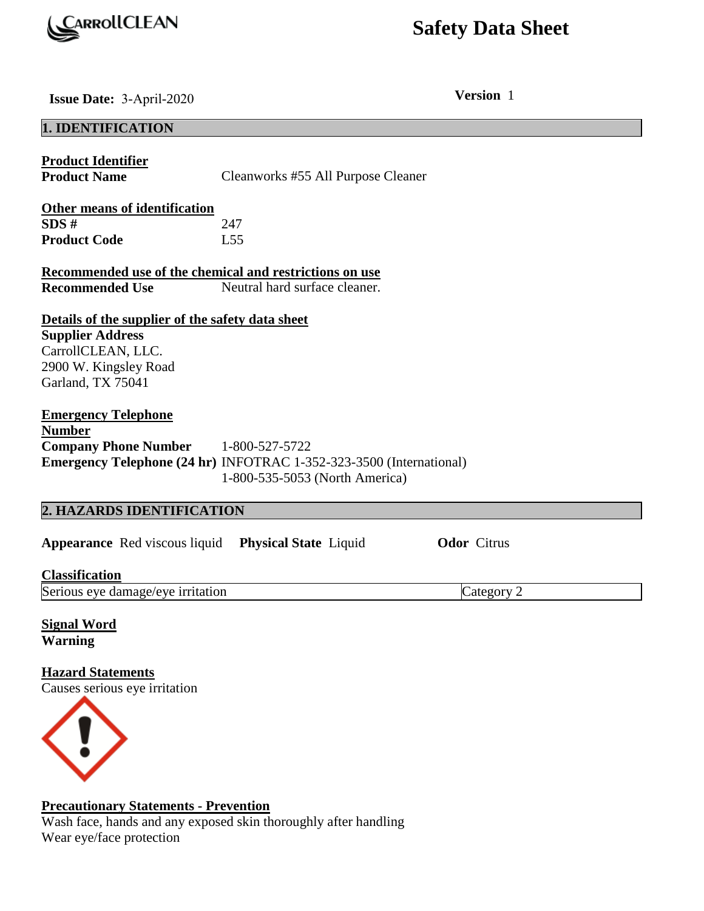

# **Safety Data Sheet**

**Issue Date:** 3-April-2020 **Version** 1

# **1. IDENTIFICATION Product Identifier Product Name Cleanworks #55 All Purpose Cleaner Other means of identification SDS #** 247 **Product Code** L55 **Recommended use of the chemical and restrictions on use Recommended Use** Neutral hard surface cleaner. **Details of the supplier of the safety data sheet Supplier Address**  CarrollCLEAN, LLC. 2900 W. Kingsley Road Garland, TX 75041 **Emergency Telephone Number Company Phone Number** 1-800-527-5722 **Emergency Telephone (24 hr)** INFOTRAC 1-352-323-3500 (International) 1-800-535-5053 (North America) **2. HAZARDS IDENTIFICATION Appearance** Red viscous liquid **Physical State** Liquid **Odor** Citrus

**Classification**  Serious eye damage/eye irritation Category 2

**Signal Word Warning** 

**Hazard Statements**  Causes serious eye irritation



# **Precautionary Statements - Prevention**

Wash face, hands and any exposed skin thoroughly after handling Wear eye/face protection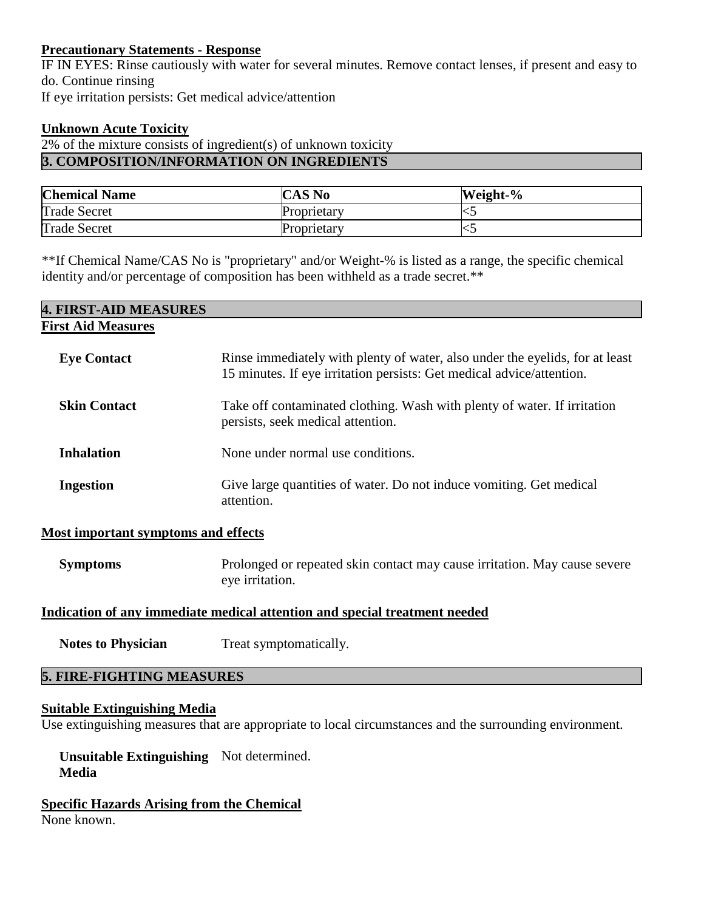# **Precautionary Statements - Response**

IF IN EYES: Rinse cautiously with water for several minutes. Remove contact lenses, if present and easy to do. Continue rinsing If eye irritation persists: Get medical advice/attention

# **Unknown Acute Toxicity**

2% of the mixture consists of ingredient(s) of unknown toxicity **3. COMPOSITION/INFORMATION ON INGREDIENTS** 

| <b>Chemical Name</b> | <b>CAS No</b> | Weight-%                  |
|----------------------|---------------|---------------------------|
| <b>Trade Secret</b>  | Proprietary   | $\sim$                    |
| <b>Trade Secret</b>  | Proprietary   | $\widetilde{\phantom{a}}$ |

\*\*If Chemical Name/CAS No is "proprietary" and/or Weight-% is listed as a range, the specific chemical identity and/or percentage of composition has been withheld as a trade secret.\*\*

| <b>4. FIRST-AID MEASURES</b> |                                                                                                                                                       |
|------------------------------|-------------------------------------------------------------------------------------------------------------------------------------------------------|
| <b>First Aid Measures</b>    |                                                                                                                                                       |
| <b>Eye Contact</b>           | Rinse immediately with plenty of water, also under the eyelids, for at least<br>15 minutes. If eye irritation persists: Get medical advice/attention. |
| <b>Skin Contact</b>          | Take off contaminated clothing. Wash with plenty of water. If irritation<br>persists, seek medical attention.                                         |
| <b>Inhalation</b>            | None under normal use conditions.                                                                                                                     |
| <b>Ingestion</b>             | Give large quantities of water. Do not induce vomiting. Get medical<br>attention.                                                                     |

# **Most important symptoms and effects**

**Symptoms** Prolonged or repeated skin contact may cause irritation. May cause severe eye irritation.

# **Indication of any immediate medical attention and special treatment needed**

**Notes to Physician** Treat symptomatically.

# **5. FIRE-FIGHTING MEASURES**

#### **Suitable Extinguishing Media**

Use extinguishing measures that are appropriate to local circumstances and the surrounding environment.

 **Unsuitable Extinguishing**  Not determined. **Media** 

**Specific Hazards Arising from the Chemical**  None known.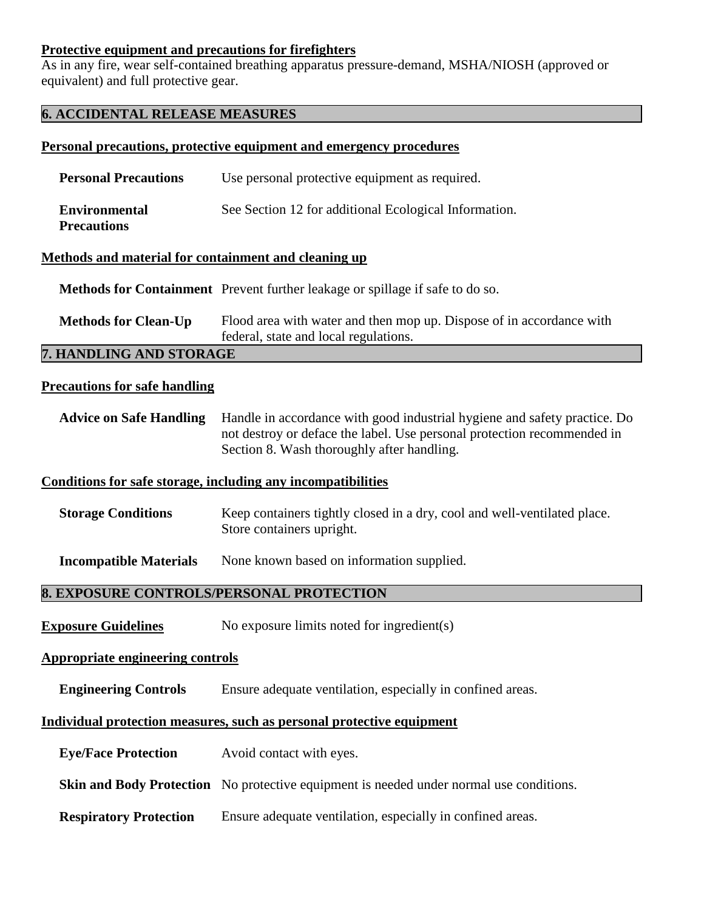# **Protective equipment and precautions for firefighters**

As in any fire, wear self-contained breathing apparatus pressure-demand, MSHA/NIOSH (approved or equivalent) and full protective gear.

# **6. ACCIDENTAL RELEASE MEASURES**

# **Personal precautions, protective equipment and emergency procedures**

| <b>Personal Precautions</b>                | Use personal protective equipment as required.        |
|--------------------------------------------|-------------------------------------------------------|
| <b>Environmental</b><br><b>Precautions</b> | See Section 12 for additional Ecological Information. |

#### **Methods and material for containment and cleaning up**

 **Methods for Containment** Prevent further leakage or spillage if safe to do so.

**Methods for Clean-Up** Flood area with water and then mop up. Dispose of in accordance with federal, state and local regulations.

# **7. HANDLING AND STORAGE**

#### **Precautions for safe handling**

**Advice on Safe Handling** Handle in accordance with good industrial hygiene and safety practice. Do not destroy or deface the label. Use personal protection recommended in Section 8. Wash thoroughly after handling.

# **Conditions for safe storage, including any incompatibilities**

**Storage Conditions** Keep containers tightly closed in a dry, cool and well-ventilated place. Store containers upright.

**Incompatible Materials** None known based on information supplied.

# **8. EXPOSURE CONTROLS/PERSONAL PROTECTION**

**Exposure Guidelines** No exposure limits noted for ingredient(s)

# **Appropriate engineering controls**

**Engineering Controls** Ensure adequate ventilation, especially in confined areas.

# **Individual protection measures, such as personal protective equipment**

- **Eye/Face Protection** Avoid contact with eyes.
- **Skin and Body Protection** No protective equipment is needed under normal use conditions.
- **Respiratory Protection** Ensure adequate ventilation, especially in confined areas.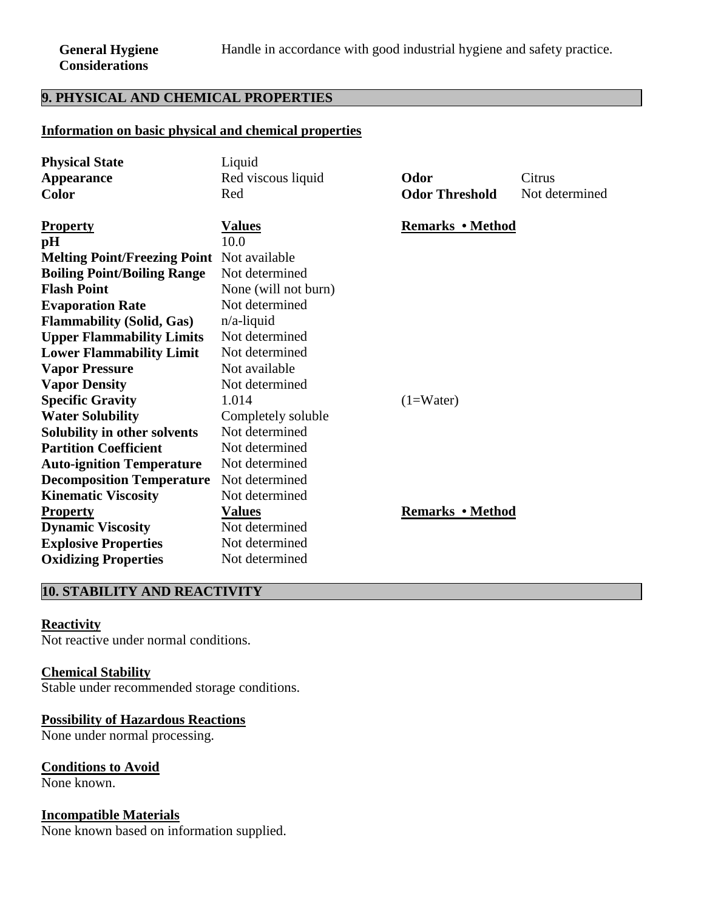# **9. PHYSICAL AND CHEMICAL PROPERTIES**

# **Information on basic physical and chemical properties**

| <b>Physical State</b>                             | Liquid                               |                         |                |
|---------------------------------------------------|--------------------------------------|-------------------------|----------------|
| <b>Appearance</b>                                 | Red viscous liquid<br>Odor<br>Citrus |                         |                |
| <b>Color</b>                                      | Red                                  | <b>Odor Threshold</b>   | Not determined |
|                                                   |                                      |                         |                |
| <b>Property</b>                                   | <u>Values</u>                        | <b>Remarks</b> • Method |                |
| pH                                                | 10.0                                 |                         |                |
| <b>Melting Point/Freezing Point</b> Not available |                                      |                         |                |
| <b>Boiling Point/Boiling Range</b>                | Not determined                       |                         |                |
| <b>Flash Point</b>                                | None (will not burn)                 |                         |                |
| <b>Evaporation Rate</b>                           | Not determined                       |                         |                |
| <b>Flammability (Solid, Gas)</b>                  | $n/a$ -liquid                        |                         |                |
| <b>Upper Flammability Limits</b>                  | Not determined                       |                         |                |
| <b>Lower Flammability Limit</b>                   | Not determined                       |                         |                |
| <b>Vapor Pressure</b>                             | Not available                        |                         |                |
| <b>Vapor Density</b>                              | Not determined                       |                         |                |
| <b>Specific Gravity</b>                           | 1.014                                | $(1=Water)$             |                |
| <b>Water Solubility</b>                           | Completely soluble                   |                         |                |
| Solubility in other solvents                      | Not determined                       |                         |                |
| <b>Partition Coefficient</b>                      | Not determined                       |                         |                |
| <b>Auto-ignition Temperature</b>                  | Not determined                       |                         |                |
| <b>Decomposition Temperature</b>                  | Not determined                       |                         |                |
| <b>Kinematic Viscosity</b>                        | Not determined                       |                         |                |
| <b>Property</b>                                   | <b>Values</b>                        | <b>Remarks • Method</b> |                |
| <b>Dynamic Viscosity</b>                          | Not determined                       |                         |                |
| <b>Explosive Properties</b>                       | Not determined                       |                         |                |
| <b>Oxidizing Properties</b>                       | Not determined                       |                         |                |

# **10. STABILITY AND REACTIVITY**

# **Reactivity**

Not reactive under normal conditions.

#### **Chemical Stability**

Stable under recommended storage conditions.

# **Possibility of Hazardous Reactions**

None under normal processing.

#### **Conditions to Avoid**

None known.

#### **Incompatible Materials**

None known based on information supplied.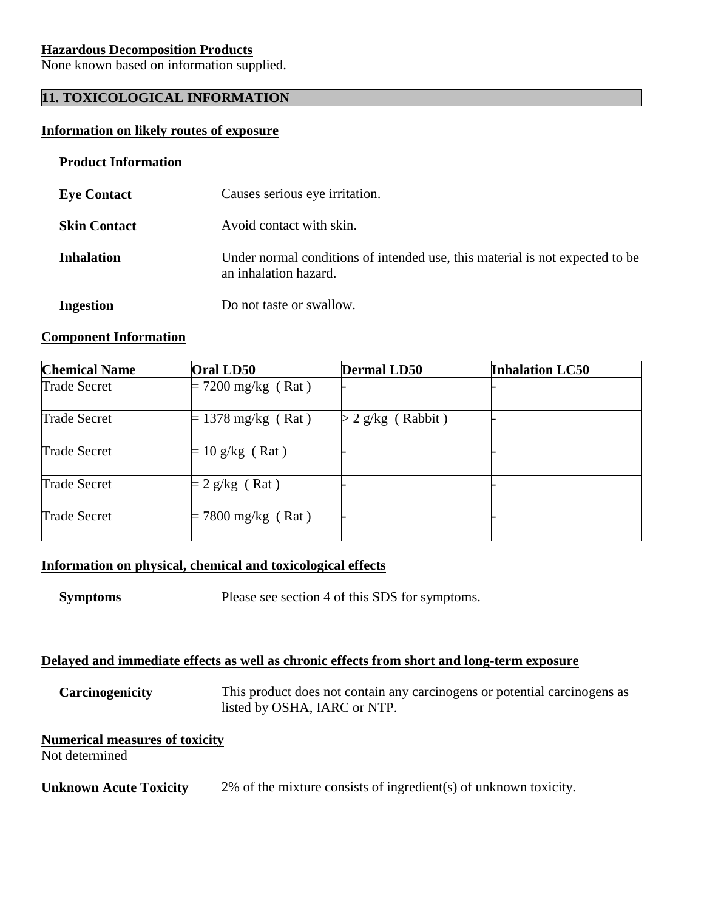# **Hazardous Decomposition Products**

None known based on information supplied.

# **11. TOXICOLOGICAL INFORMATION**

# **Information on likely routes of exposure**

#### **Product Information**

| <b>Eye Contact</b>  | Causes serious eye irritation.                                                                        |
|---------------------|-------------------------------------------------------------------------------------------------------|
| <b>Skin Contact</b> | Avoid contact with skin.                                                                              |
| <b>Inhalation</b>   | Under normal conditions of intended use, this material is not expected to be<br>an inhalation hazard. |
| <b>Ingestion</b>    | Do not taste or swallow.                                                                              |

## **Component Information**

| <b>Chemical Name</b> | Oral LD50            | <b>Dermal LD50</b>  | <b>Inhalation LC50</b> |
|----------------------|----------------------|---------------------|------------------------|
| <b>Trade Secret</b>  | $= 7200$ mg/kg (Rat) |                     |                        |
| <b>Trade Secret</b>  | $= 1378$ mg/kg (Rat) | $>$ 2 g/kg (Rabbit) |                        |
| <b>Trade Secret</b>  | $= 10$ g/kg (Rat)    |                     |                        |
| <b>Trade Secret</b>  | $= 2$ g/kg (Rat)     |                     |                        |
| <b>Trade Secret</b>  | $= 7800$ mg/kg (Rat) |                     |                        |

# **Information on physical, chemical and toxicological effects**

**Symptoms** Please see section 4 of this SDS for symptoms.

# **Delayed and immediate effects as well as chronic effects from short and long-term exposure**

 **Carcinogenicity** This product does not contain any carcinogens or potential carcinogens as listed by OSHA, IARC or NTP.

# **Numerical measures of toxicity**

Not determined

**Unknown Acute Toxicity** 2% of the mixture consists of ingredient(s) of unknown toxicity.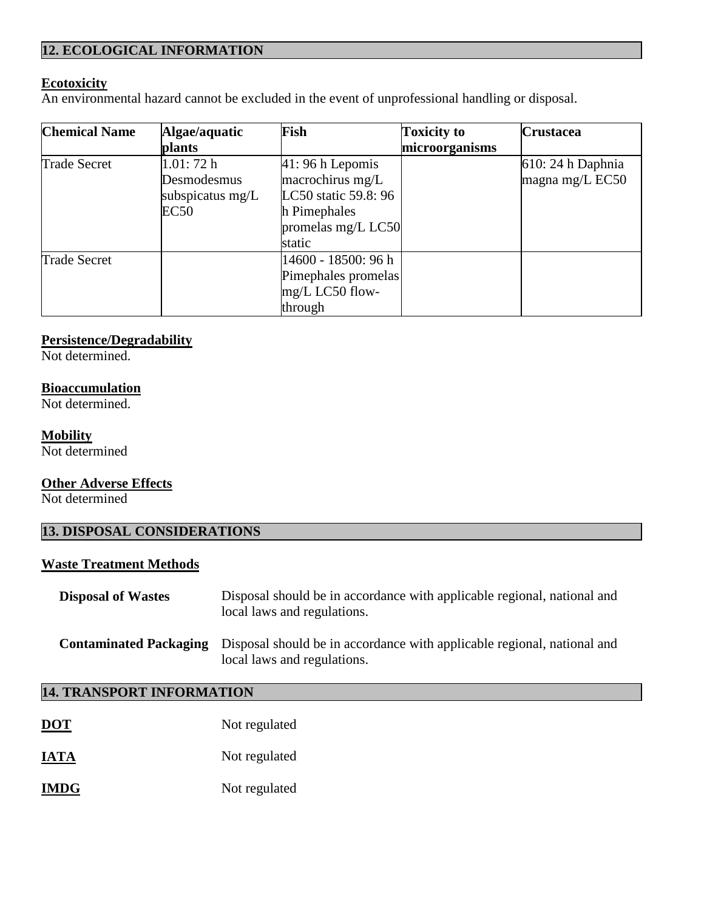# **12. ECOLOGICAL INFORMATION**

# **Ecotoxicity**

An environmental hazard cannot be excluded in the event of unprofessional handling or disposal.

| <b>Chemical Name</b> | Algae/aquatic    | Fish                 | <b>Toxicity to</b> | <b>Crustacea</b>  |
|----------------------|------------------|----------------------|--------------------|-------------------|
|                      | <b>plants</b>    |                      | microorganisms     |                   |
| <b>Trade Secret</b>  | 1.01:72h         | $41:96 h$ Lepomis    |                    | 610: 24 h Daphnia |
|                      | Desmodesmus      | macrochirus mg/L     |                    | magna mg/L EC50   |
|                      | subspicatus mg/L | LC50 static 59.8: 96 |                    |                   |
|                      | EC50             | h Pimephales         |                    |                   |
|                      |                  | promelas mg/L LC50   |                    |                   |
|                      |                  | static               |                    |                   |
| <b>Trade Secret</b>  |                  | 14600 - 18500: 96 h  |                    |                   |
|                      |                  | Pimephales promelas  |                    |                   |
|                      |                  | mg/L LC50 flow-      |                    |                   |
|                      |                  | through              |                    |                   |

# **Persistence/Degradability**

Not determined.

# **Bioaccumulation**

Not determined.

#### **Mobility**

Not determined

# **Other Adverse Effects**

Not determined

# **13. DISPOSAL CONSIDERATIONS**

# **Waste Treatment Methods**

| <b>Disposal of Wastes</b>     | Disposal should be in accordance with applicable regional, national and<br>local laws and regulations. |
|-------------------------------|--------------------------------------------------------------------------------------------------------|
| <b>Contaminated Packaging</b> | Disposal should be in accordance with applicable regional, national and<br>local laws and regulations. |

# **14. TRANSPORT INFORMATION**

| <b>DOT</b>  | Not regulated |
|-------------|---------------|
| <b>IATA</b> | Not regulated |
| <b>IMDG</b> | Not regulated |